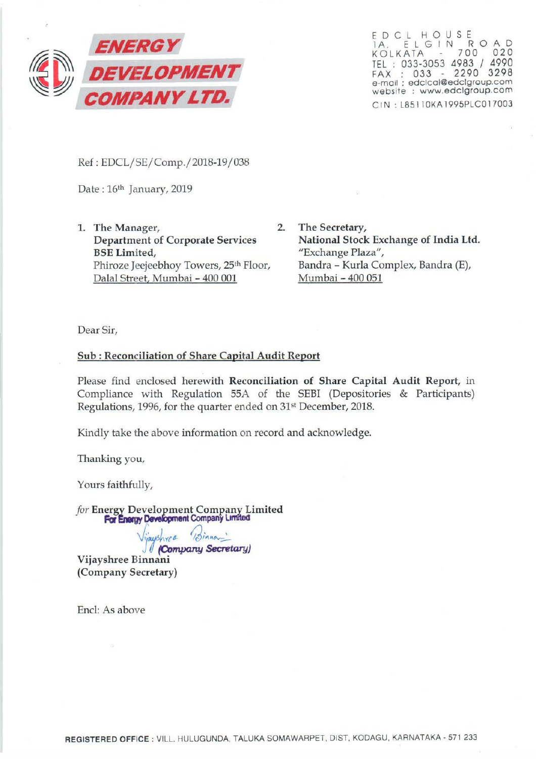

EDCL H OUSE lA. E L G I N R 0 AD KOLKATA 700 020 TEL : 033-3053 4983 / 4990 FAX : 033 - 2290 3298 e-mail : edclcol@edclgroup.com website : www.edclgroup.com CIN: L85110KA1995PLC017003

Ref: EDCL/SE/Comp./2018-19/ 038

Date: 16<sup>th</sup> January, 2019

- 1. The Manager, 2. Department of Corporate Services BSE Limited, Phiroze Jeejeebhoy Towers, 25th Floor, Dalal Street, Mumbai- 400 001
	- The Secretary, National Stock Exchange of India Ltd. "Exchange Plaza", Bandra - Kurla Complex, Bandra (E), Mumbai - 400 051

Dear Sir,

## Sub : Reconciliation of Share Capital Audit Report

Please find enclosed herewith Reconciliation of Share Capital Audit Report, in Compliance with Regulation 55A of the SEBI (Depositories & Participants) Regulations, 1996, for the quarter ended on 31<sup>st</sup> December, 2018.

Kindly take the above information on record and acknowledge.

Thanking you,

Yours faithfully,

*for* Energy Development Company Limited **For Energy Development Company Limited** 

 $u$  $\delta$ *wer*  $(3)$ innon<sup>'</sup>

*V*ijayshree Binnani<br>Vijayshree Binnani (Company Secretary)

End: As above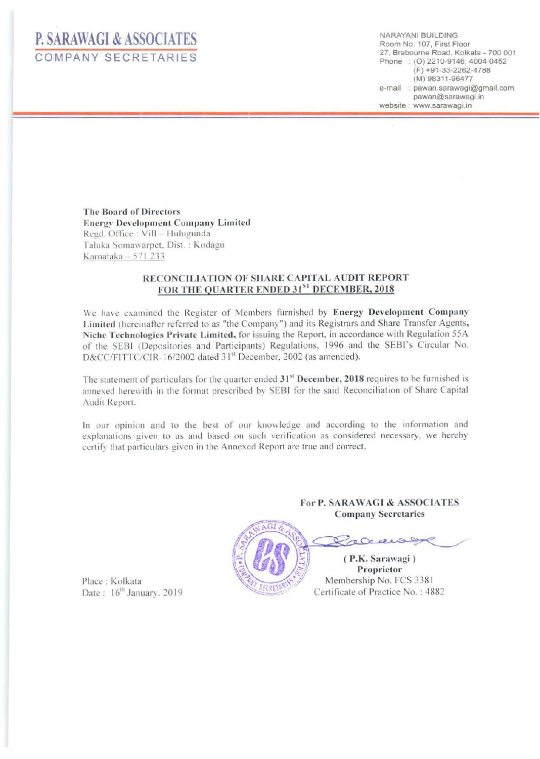## **P. SARAWAGI & ASSOCIATES**  COMPANY SECRETARIES

NARAYAN! BUILDING Room No. 107, First Floor 27, Brabourne Road. Kolkata- 700 001 Phone : (0) 2210-9146, 4004-0452 (F) +91-33-2262-4788 (M) 98311-96477 e-mail : pawan.sarawagi@gmail.com. pawan@sarawagi.in website : www.sarawagi.in

The Board of Directors Energy Development Company Limited Regd. Office: Vill - Hulugunda Taluka Somawarpet, Dist. : Kodagu Karnataka  $- 571$  233

## RECONCILIATION OF SHARE CAPITAL AUDIT REPORT FOR THE OUARTER ENDED 31ST DECEMBER, 2018

We have examined the Register of Members furnished by Energy Development Company Limited (hereinafter referred to as "the Company") and its Registrars and Share Transfer Agents, Niche Technologies Private Limited, for issuing the Report, in accordance with Regulation 55A of the SEBI (Depositories and Participants) Regulations, 1996 and the SEBI's Circular No. D&CC/FITTC/CIR-16/2002 dated 31<sup>st</sup> December, 2002 (as amended).

The statement of particulars for the quarter ended  $31<sup>st</sup>$  December, 2018 requires to be furnished is annexed herewith in the format prescribed by SEBI for the said Reconciliation of Share Capital Audit Report.

In our opinion and to the best of our knowledge and according to the information and explanations given to us and based on such verification as considered necessary, we hereby certify that particulars given in the Annexed Report are true and correct.

> For P. SARA WAGJ & ASSOCIATES Company Secretaries



Procaway

(P.K. Sarawagi) Proprietor Membership No. FCS 3381 Certificate of Practice No.: 4882

Place : Kolkata Date : 16<sup>th</sup> January, 2019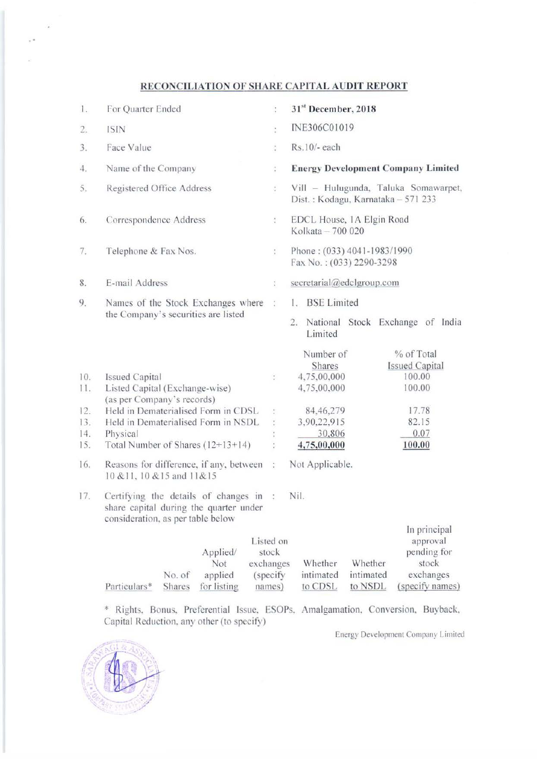## RECONCILIATION OF SHARE CAPITAL AUDIT REPORT

| 1.                       | For Quarter Ended                                                                                                                                                   | ÷,                                        | 31st December, 2018                                                                                                                                        |
|--------------------------|---------------------------------------------------------------------------------------------------------------------------------------------------------------------|-------------------------------------------|------------------------------------------------------------------------------------------------------------------------------------------------------------|
| 2.                       | <b>ISIN</b>                                                                                                                                                         | ł.                                        | INE306C01019                                                                                                                                               |
| 3.                       | Face Value                                                                                                                                                          | ÷                                         | Rs.10/- each                                                                                                                                               |
| 4.                       | Name of the Company                                                                                                                                                 | ţ.                                        | <b>Energy Development Company Limited</b>                                                                                                                  |
| 5.                       | Registered Office Address                                                                                                                                           | $\hat{\boldsymbol{\cdot}}$                | Vill - Hulugunda, Taluka Somawarpet,<br>Dist.: Kodagu, Karnataka - 571 233                                                                                 |
| 6.                       | Correspondence Address                                                                                                                                              | $\frac{1}{2}$                             | EDCL House, 1A Elgin Road<br>Kolkata - 700 020                                                                                                             |
| 7.                       | Telephone & Fax Nos.                                                                                                                                                | ÷                                         | Phone: (033) 4041-1983/1990<br>Fax No.: (033) 2290-3298                                                                                                    |
| 8.                       | E-mail Address                                                                                                                                                      | $\ddot{\cdot}$                            | secretarial@edclgroup.com                                                                                                                                  |
| 9.                       | Names of the Stock Exchanges where<br>the Company's securities are listed                                                                                           | ÷                                         | 1. BSE Limited<br>National Stock Exchange of India<br>2.<br>Limited                                                                                        |
| 10.<br>11.<br>12.<br>13. | <b>Issued Capital</b><br>Listed Capital (Exchange-wise)<br>(as per Company's records)<br>Held in Dematerialised Form in CDSL<br>Held in Dematerialised Form in NSDL | ţ.<br>ţ.                                  | % of Total<br>Number of<br>Shares<br><b>Issued Capital</b><br>100.00<br>4,75,00,000<br>100.00<br>4,75,00,000<br>17.78<br>84,46,279<br>3,90,22,915<br>82.15 |
| 14.                      | Physical                                                                                                                                                            |                                           | 0.07<br>30,806                                                                                                                                             |
| 15.                      | Total Number of Shares (12+13+14)                                                                                                                                   |                                           | 4,75,00,000<br>100.00                                                                                                                                      |
| 16.                      | Reasons for difference, if any, between :<br>10 & 11, 10 & 15 and 11 & 15                                                                                           |                                           | Not Applicable.                                                                                                                                            |
| 17.                      | Certifying the details of changes in :<br>share capital during the quarter under<br>consideration, as per table below                                               |                                           | Nil.                                                                                                                                                       |
|                          | Applied/<br>Not<br>exchanges<br>No. of<br>applied<br>Particulars*<br>for listing<br>Shares                                                                          | Listed on<br>stock<br>(specify)<br>names) | In principal<br>approval<br>pending for<br>Whether<br>stock<br>Whether<br>intimated<br>exchanges<br>intimated<br>(specify names)<br>to CDSL<br>to NSDL     |

\* Rights, Bonus, Preferential Issue, ESOPs, Amalgamation, Conversion, Buyback, Capital Reduction, any other (to specify)

Energy Development Company Limited



i.